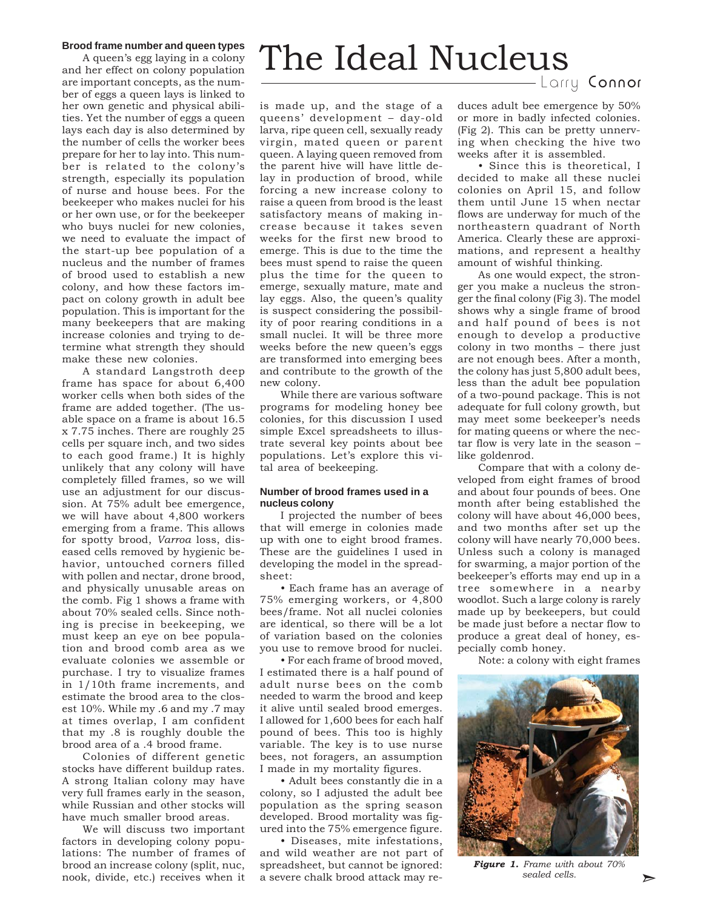### **Brood frame number and queen types**

A queen's egg laying in a colony and her effect on colony population are important concepts, as the number of eggs a queen lays is linked to her own genetic and physical abilities. Yet the number of eggs a queen lays each day is also determined by the number of cells the worker bees prepare for her to lay into. This number is related to the colony's strength, especially its population of nurse and house bees. For the beekeeper who makes nuclei for his or her own use, or for the beekeeper who buys nuclei for new colonies, we need to evaluate the impact of the start-up bee population of a nucleus and the number of frames of brood used to establish a new colony, and how these factors impact on colony growth in adult bee population. This is important for the many beekeepers that are making increase colonies and trying to determine what strength they should make these new colonies.

A standard Langstroth deep frame has space for about 6,400 worker cells when both sides of the frame are added together. (The usable space on a frame is about 16.5 x 7.75 inches. There are roughly 25 cells per square inch, and two sides to each good frame.) It is highly unlikely that any colony will have completely filled frames, so we will use an adjustment for our discussion. At 75% adult bee emergence, we will have about 4,800 workers emerging from a frame. This allows for spotty brood, *Varroa* loss, diseased cells removed by hygienic behavior, untouched corners filled with pollen and nectar, drone brood, and physically unusable areas on the comb. Fig 1 shows a frame with about 70% sealed cells. Since nothing is precise in beekeeping, we must keep an eye on bee population and brood comb area as we evaluate colonies we assemble or purchase. I try to visualize frames in 1/10th frame increments, and estimate the brood area to the closest 10%. While my .6 and my .7 may at times overlap, I am confident that my .8 is roughly double the brood area of a .4 brood frame.

Colonies of different genetic stocks have different buildup rates. A strong Italian colony may have very full frames early in the season, while Russian and other stocks will have much smaller brood areas.

brood an increase colony (split, nuc, spreadsheet, but cannot be ignored: **Figure 1.** Frame with about 70% We will discuss two important factors in developing colony populations: The number of frames of brood an increase colony (split, nuc, nook, divide, etc.) receives when it

# The Ideal Nucleus

Larry Connor

is made up, and the stage of a queens' development – day-old larva, ripe queen cell, sexually ready virgin, mated queen or parent queen. A laying queen removed from the parent hive will have little delay in production of brood, while forcing a new increase colony to raise a queen from brood is the least satisfactory means of making increase because it takes seven weeks for the first new brood to emerge. This is due to the time the bees must spend to raise the queen plus the time for the queen to emerge, sexually mature, mate and lay eggs. Also, the queen's quality is suspect considering the possibility of poor rearing conditions in a small nuclei. It will be three more weeks before the new queen's eggs are transformed into emerging bees and contribute to the growth of the new colony.

While there are various software programs for modeling honey bee colonies, for this discussion I used simple Excel spreadsheets to illustrate several key points about bee populations. Let's explore this vital area of beekeeping.

## **Number of brood frames used in a nucleus colony**

I projected the number of bees that will emerge in colonies made up with one to eight brood frames. These are the guidelines I used in developing the model in the spreadsheet:

• Each frame has an average of 75% emerging workers, or 4,800 bees/frame. Not all nuclei colonies are identical, so there will be a lot of variation based on the colonies you use to remove brood for nuclei.

• For each frame of brood moved, I estimated there is a half pound of adult nurse bees on the comb needed to warm the brood and keep it alive until sealed brood emerges. I allowed for 1,600 bees for each half pound of bees. This too is highly variable. The key is to use nurse bees, not foragers, an assumption I made in my mortality figures.

• Adult bees constantly die in a colony, so I adjusted the adult bee population as the spring season developed. Brood mortality was figured into the 75% emergence figure.

• Diseases, mite infestations, and wild weather are not part of a severe chalk brood attack may reduces adult bee emergence by 50% or more in badly infected colonies. (Fig 2). This can be pretty unnerving when checking the hive two weeks after it is assembled.

• Since this is theoretical, I decided to make all these nuclei colonies on April 15, and follow them until June 15 when nectar flows are underway for much of the northeastern quadrant of North America. Clearly these are approximations, and represent a healthy amount of wishful thinking.

As one would expect, the stronger you make a nucleus the stronger the final colony (Fig 3). The model shows why a single frame of brood and half pound of bees is not enough to develop a productive colony in two months – there just are not enough bees. After a month, the colony has just 5,800 adult bees, less than the adult bee population of a two-pound package. This is not adequate for full colony growth, but may meet some beekeeper's needs for mating queens or where the nectar flow is very late in the season – like goldenrod.

Compare that with a colony developed from eight frames of brood and about four pounds of bees. One month after being established the colony will have about 46,000 bees, and two months after set up the colony will have nearly 70,000 bees. Unless such a colony is managed for swarming, a major portion of the beekeeper's efforts may end up in a tree somewhere in a nearby woodlot. Such a large colony is rarely made up by beekeepers, but could be made just before a nectar flow to produce a great deal of honey, especially comb honey.

Note: a colony with eight frames



*Figure 1. Frame with about 70%* sealed cells.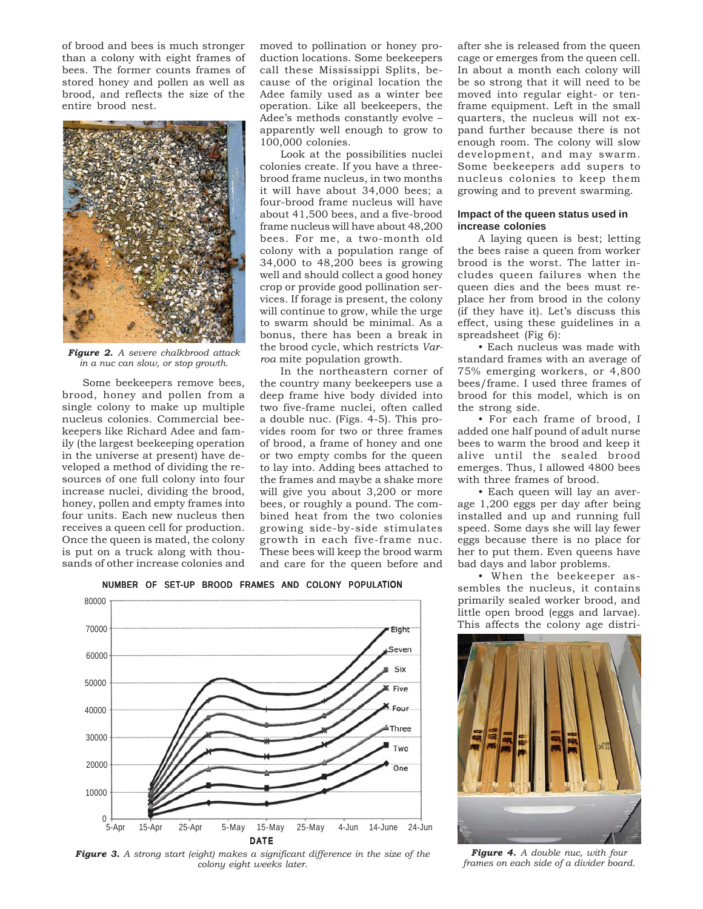of brood and bees is much stronger than a colony with eight frames of bees. The former counts frames of stored honey and pollen as well as brood, and reflects the size of the entire brood nest.



*Figure 2. A severe chalkbrood attack in a nuc can slow, or stop growth.*

Some beekeepers remove bees, brood, honey and pollen from a single colony to make up multiple nucleus colonies. Commercial beekeepers like Richard Adee and family (the largest beekeeping operation in the universe at present) have developed a method of dividing the resources of one full colony into four increase nuclei, dividing the brood, honey, pollen and empty frames into four units. Each new nucleus then receives a queen cell for production. Once the queen is mated, the colony is put on a truck along with thousands of other increase colonies and

moved to pollination or honey production locations. Some beekeepers call these Mississippi Splits, because of the original location the Adee family used as a winter bee operation. Like all beekeepers, the Adee's methods constantly evolve – apparently well enough to grow to 100,000 colonies.

Look at the possibilities nuclei colonies create. If you have a threebrood frame nucleus, in two months it will have about 34,000 bees; a four-brood frame nucleus will have about 41,500 bees, and a five-brood frame nucleus will have about 48,200 bees. For me, a two-month old colony with a population range of 34,000 to 48,200 bees is growing well and should collect a good honey crop or provide good pollination services. If forage is present, the colony will continue to grow, while the urge to swarm should be minimal. As a bonus, there has been a break in the brood cycle, which restricts *Varroa* mite population growth.

In the northeastern corner of the country many beekeepers use a deep frame hive body divided into two five-frame nuclei, often called a double nuc. (Figs. 4-5). This provides room for two or three frames of brood, a frame of honey and one or two empty combs for the queen to lay into. Adding bees attached to the frames and maybe a shake more will give you about 3,200 or more bees, or roughly a pound. The combined heat from the two colonies growing side-by-side stimulates growth in each five-frame nuc. These bees will keep the brood warm and care for the queen before and

80000 70000 Eight Seven 60000 Six 50000 **K** Five Four 40000 **Three** 30000 Two 20000 One 10000  $0 +$ <br>5-Apr 5-Apr 15-Apr 25-Apr 5-May 15-May 25-May 4-Jun 14-June 24-Jun **DATE** 

NUMBER OF SET-UP BROOD FRAMES AND COLONY POPULATION



after she is released from the queen cage or emerges from the queen cell. In about a month each colony will be so strong that it will need to be moved into regular eight- or tenframe equipment. Left in the small quarters, the nucleus will not expand further because there is not enough room. The colony will slow development, and may swarm. Some beekeepers add supers to nucleus colonies to keep them growing and to prevent swarming.

#### **Impact of the queen status used in increase colonies**

A laying queen is best; letting the bees raise a queen from worker brood is the worst. The latter includes queen failures when the queen dies and the bees must replace her from brood in the colony (if they have it). Let's discuss this effect, using these guidelines in a spreadsheet (Fig 6):

• Each nucleus was made with standard frames with an average of 75% emerging workers, or 4,800 bees/frame. I used three frames of brood for this model, which is on the strong side.

• For each frame of brood, I added one half pound of adult nurse bees to warm the brood and keep it alive until the sealed brood emerges. Thus, I allowed 4800 bees with three frames of brood.

• Each queen will lay an average 1,200 eggs per day after being installed and up and running full speed. Some days she will lay fewer eggs because there is no place for her to put them. Even queens have bad days and labor problems.

• When the beekeeper assembles the nucleus, it contains primarily sealed worker brood, and little open brood (eggs and larvae). This affects the colony age distri-



*Figure 4. A double nuc, with four*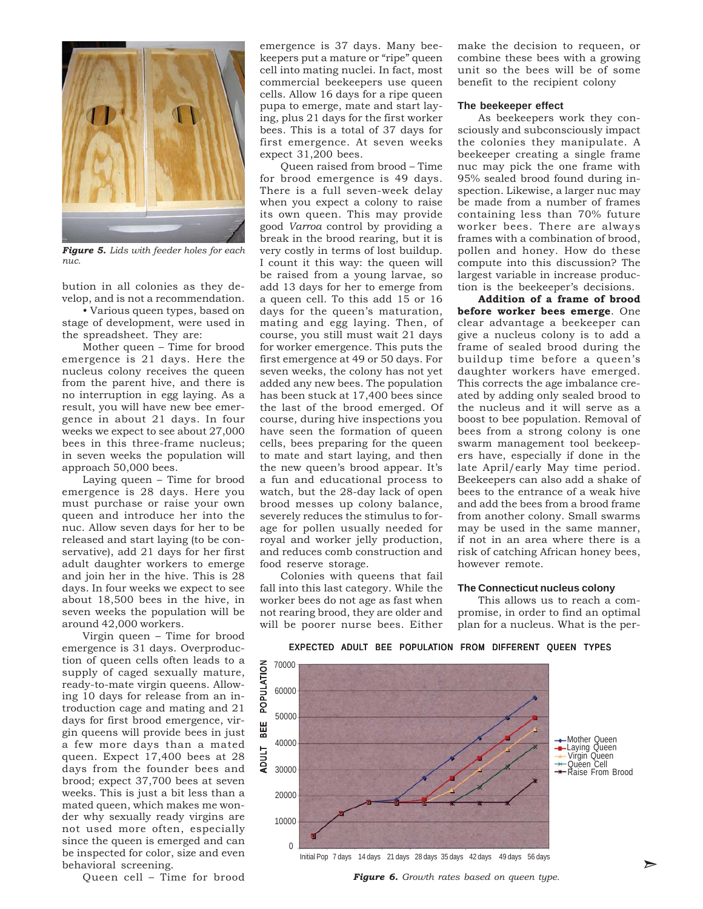

*Figure 5. Lids with feeder holes for each nuc.*

bution in all colonies as they develop, and is not a recommendation.

• Various queen types, based on stage of development, were used in the spreadsheet. They are:

Mother queen – Time for brood emergence is 21 days. Here the nucleus colony receives the queen from the parent hive, and there is no interruption in egg laying. As a result, you will have new bee emergence in about 21 days. In four weeks we expect to see about 27,000 bees in this three-frame nucleus; in seven weeks the population will approach 50,000 bees.

Laying queen – Time for brood emergence is 28 days. Here you must purchase or raise your own queen and introduce her into the nuc. Allow seven days for her to be released and start laying (to be conservative), add 21 days for her first adult daughter workers to emerge and join her in the hive. This is 28 days. In four weeks we expect to see about 18,500 bees in the hive, in seven weeks the population will be around 42,000 workers.

behavioral screening. The current of the current contract of the current contract of the current of the current of the current of the current of the current of the current of the current of the current of the current of th Virgin queen – Time for brood emergence is 31 days. Overproduction of queen cells often leads to a supply of caged sexually mature, ready-to-mate virgin queens. Allowing 10 days for release from an introduction cage and mating and 21 days for first brood emergence, virgin queens will provide bees in just a few more days than a mated queen. Expect 17,400 bees at 28 days from the founder bees and brood; expect 37,700 bees at seven weeks. This is just a bit less than a mated queen, which makes me wonder why sexually ready virgins are not used more often, especially since the queen is emerged and can be inspected for color, size and even

Queen cell – Time for brood

emergence is 37 days. Many beekeepers put a mature or "ripe" queen cell into mating nuclei. In fact, most commercial beekeepers use queen cells. Allow 16 days for a ripe queen pupa to emerge, mate and start laying, plus 21 days for the first worker bees. This is a total of 37 days for first emergence. At seven weeks expect 31,200 bees.

Queen raised from brood – Time for brood emergence is 49 days. There is a full seven-week delay when you expect a colony to raise its own queen. This may provide good *Varroa* control by providing a break in the brood rearing, but it is very costly in terms of lost buildup. I count it this way: the queen will be raised from a young larvae, so add 13 days for her to emerge from a queen cell. To this add 15 or 16 days for the queen's maturation, mating and egg laying. Then, of course, you still must wait 21 days for worker emergence. This puts the first emergence at 49 or 50 days. For seven weeks, the colony has not yet added any new bees. The population has been stuck at 17,400 bees since the last of the brood emerged. Of course, during hive inspections you have seen the formation of queen cells, bees preparing for the queen to mate and start laying, and then the new queen's brood appear. It's a fun and educational process to watch, but the 28-day lack of open brood messes up colony balance, severely reduces the stimulus to forage for pollen usually needed for royal and worker jelly production, and reduces comb construction and food reserve storage.

Colonies with queens that fail fall into this last category. While the worker bees do not age as fast when not rearing brood, they are older and will be poorer nurse bees. Either make the decision to requeen, or combine these bees with a growing unit so the bees will be of some benefit to the recipient colony

#### **The beekeeper effect**

As beekeepers work they consciously and subconsciously impact the colonies they manipulate. A beekeeper creating a single frame nuc may pick the one frame with 95% sealed brood found during inspection. Likewise, a larger nuc may be made from a number of frames containing less than 70% future worker bees. There are always frames with a combination of brood, pollen and honey. How do these compute into this discussion? The largest variable in increase production is the beekeeper's decisions.

**Addition of a frame of brood before worker bees emerge**. One clear advantage a beekeeper can give a nucleus colony is to add a frame of sealed brood during the buildup time before a queen's daughter workers have emerged. This corrects the age imbalance created by adding only sealed brood to the nucleus and it will serve as a boost to bee population. Removal of bees from a strong colony is one swarm management tool beekeepers have, especially if done in the late April/early May time period. Beekeepers can also add a shake of bees to the entrance of a weak hive and add the bees from a brood frame from another colony. Small swarms may be used in the same manner, if not in an area where there is a risk of catching African honey bees, however remote.

#### **The Connecticut nucleus colony**

This allows us to reach a compromise, in order to find an optimal plan for a nucleus. What is the per-



#### EXPECTED ADULT BEE POPULATION FROM DIFFERENT QUEEN TYPES

Mother Queen **-Laying Queen** Virgin Queen Quĕen Cell<br>Raise From Brood

*Figure 6. Growth rates based on queen type.*